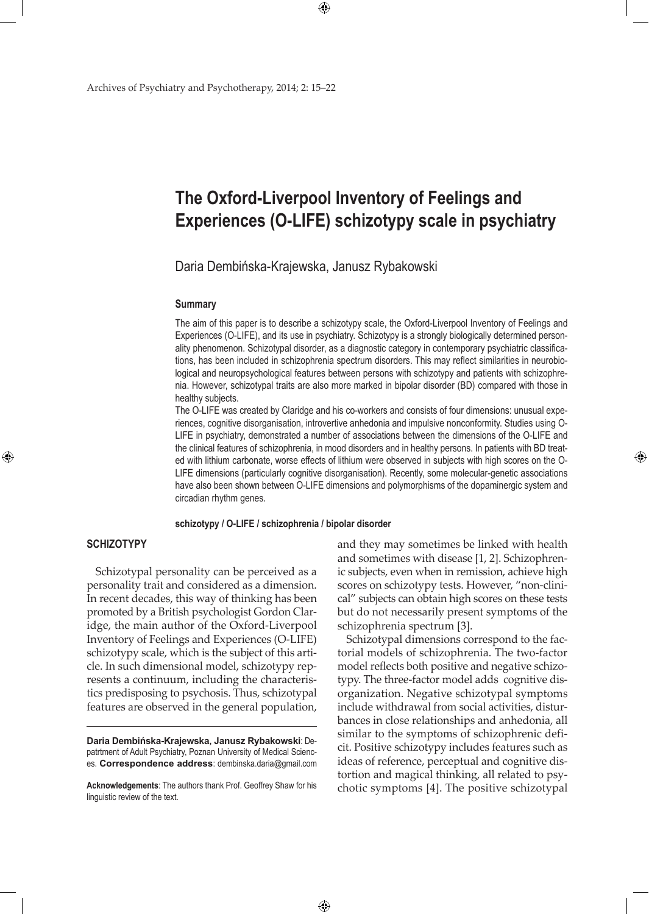# **The Oxford-Liverpool Inventory of Feelings and Experiences (O-LIFE) schizotypy scale in psychiatry**

Daria Dembińska-Krajewska, Janusz Rybakowski

 $\bigoplus$ 

#### **Summary**

The aim of this paper is to describe a schizotypy scale, the Oxford-Liverpool Inventory of Feelings and Experiences (O-LIFE), and its use in psychiatry. Schizotypy is a strongly biologically determined personality phenomenon. Schizotypal disorder, as a diagnostic category in contemporary psychiatric classifications, has been included in schizophrenia spectrum disorders. This may reflect similarities in neurobiological and neuropsychological features between persons with schizotypy and patients with schizophrenia. However, schizotypal traits are also more marked in bipolar disorder (BD) compared with those in healthy subjects.

The O-LIFE was created by Claridge and his co-workers and consists of four dimensions: unusual experiences, cognitive disorganisation, introvertive anhedonia and impulsive nonconformity. Studies using O-LIFE in psychiatry, demonstrated a number of associations between the dimensions of the O-LIFE and the clinical features of schizophrenia, in mood disorders and in healthy persons. In patients with BD treated with lithium carbonate, worse effects of lithium were observed in subjects with high scores on the O-LIFE dimensions (particularly cognitive disorganisation). Recently, some molecular-genetic associations have also been shown between O-LIFE dimensions and polymorphisms of the dopaminergic system and circadian rhythm genes.

#### **schizotypy / O-LIFE / schizophrenia / bipolar disorder**

 $\bigoplus$ 

# **Schizotypy**

⊕

Schizotypal personality can be perceived as a personality trait and considered as a dimension. In recent decades, this way of thinking has been promoted by a British psychologist Gordon Claridge, the main author of the Oxford-Liverpool Inventory of Feelings and Experiences (O-LIFE) schizotypy scale, which is the subject of this article. In such dimensional model, schizotypy represents a continuum, including the characteristics predisposing to psychosis. Thus, schizotypal features are observed in the general population,

**Daria Dembińska-Krajewska, Janusz Rybakowski**: Depatrtment of Adult Psychiatry, Poznan University of Medical Sciences. **Correspondence address**: dembinska.daria@gmail.com

**Acknowledgements**: The authors thank Prof. Geoffrey Shaw for his linguistic review of the text.

and they may sometimes be linked with health and sometimes with disease [1, 2]. Schizophrenic subjects, even when in remission, achieve high scores on schizotypy tests. However, "non-clinical" subjects can obtain high scores on these tests but do not necessarily present symptoms of the schizophrenia spectrum [3].

⊕

Schizotypal dimensions correspond to the factorial models of schizophrenia. The two-factor model reflects both positive and negative schizotypy. The three-factor model adds cognitive disorganization. Negative schizotypal symptoms include withdrawal from social activities, disturbances in close relationships and anhedonia, all similar to the symptoms of schizophrenic deficit. Positive schizotypy includes features such as ideas of reference, perceptual and cognitive distortion and magical thinking, all related to psychotic symptoms [4]. The positive schizotypal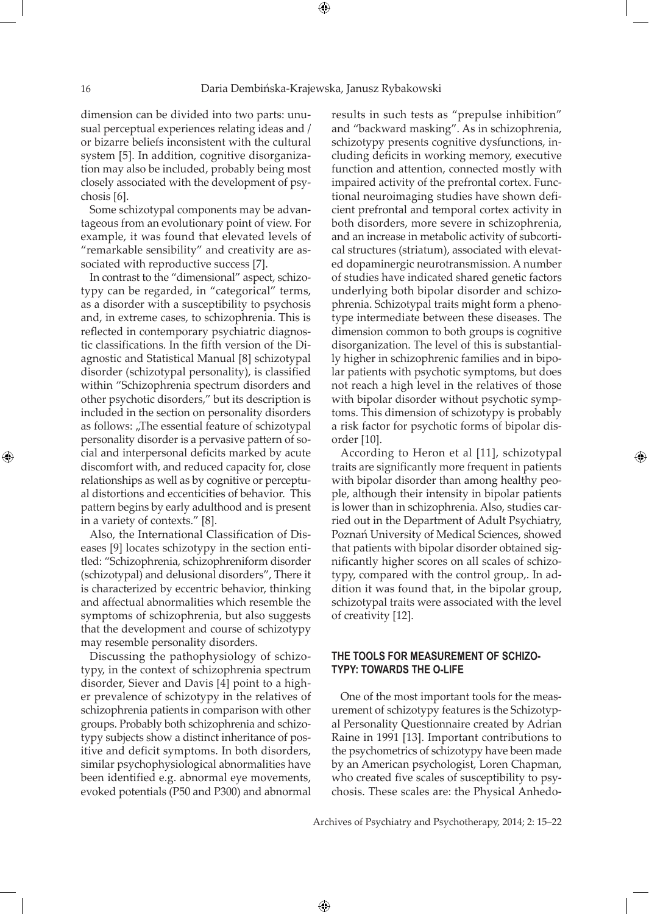⊕

dimension can be divided into two parts: unusual perceptual experiences relating ideas and / or bizarre beliefs inconsistent with the cultural system [5]. In addition, cognitive disorganization may also be included, probably being most closely associated with the development of psychosis [6].

Some schizotypal components may be advantageous from an evolutionary point of view. For example, it was found that elevated levels of "remarkable sensibility" and creativity are associated with reproductive success [7].

In contrast to the "dimensional" aspect, schizotypy can be regarded, in "categorical" terms, as a disorder with a susceptibility to psychosis and, in extreme cases, to schizophrenia. This is reflected in contemporary psychiatric diagnostic classifications. In the fifth version of the Diagnostic and Statistical Manual [8] schizotypal disorder (schizotypal personality), is classified within "Schizophrenia spectrum disorders and other psychotic disorders," but its description is included in the section on personality disorders as follows: "The essential feature of schizotypal personality disorder is a pervasive pattern of social and interpersonal deficits marked by acute discomfort with, and reduced capacity for, close relationships as well as by cognitive or perceptual distortions and eccenticities of behavior. This pattern begins by early adulthood and is present in a variety of contexts." [8].

Also, the International Classification of Diseases [9] locates schizotypy in the section entitled: "Schizophrenia, schizophreniform disorder (schizotypal) and delusional disorders", There it is characterized by eccentric behavior, thinking and affectual abnormalities which resemble the symptoms of schizophrenia, but also suggests that the development and course of schizotypy may resemble personality disorders.

Discussing the pathophysiology of schizotypy, in the context of schizophrenia spectrum disorder, Siever and Davis [4] point to a higher prevalence of schizotypy in the relatives of schizophrenia patients in comparison with other groups. Probably both schizophrenia and schizotypy subjects show a distinct inheritance of positive and deficit symptoms. In both disorders, similar psychophysiological abnormalities have been identified e.g. abnormal eye movements, evoked potentials (P50 and P300) and abnormal

results in such tests as "prepulse inhibition" and "backward masking". As in schizophrenia, schizotypy presents cognitive dysfunctions, including deficits in working memory, executive function and attention, connected mostly with impaired activity of the prefrontal cortex. Functional neuroimaging studies have shown deficient prefrontal and temporal cortex activity in both disorders, more severe in schizophrenia, and an increase in metabolic activity of subcortical structures (striatum), associated with elevated dopaminergic neurotransmission. A number of studies have indicated shared genetic factors underlying both bipolar disorder and schizophrenia. Schizotypal traits might form a phenotype intermediate between these diseases. The dimension common to both groups is cognitive disorganization. The level of this is substantially higher in schizophrenic families and in bipolar patients with psychotic symptoms, but does not reach a high level in the relatives of those with bipolar disorder without psychotic symptoms. This dimension of schizotypy is probably a risk factor for psychotic forms of bipolar disorder [10].

According to Heron et al [11], schizotypal traits are significantly more frequent in patients with bipolar disorder than among healthy people, although their intensity in bipolar patients is lower than in schizophrenia. Also, studies carried out in the Department of Adult Psychiatry, Poznań University of Medical Sciences, showed that patients with bipolar disorder obtained significantly higher scores on all scales of schizotypy, compared with the control group,. In addition it was found that, in the bipolar group, schizotypal traits were associated with the level of creativity [12].

⊕

# **The tools for measurement of schizotypy: towards the O-LIFE**

One of the most important tools for the measurement of schizotypy features is the Schizotypal Personality Questionnaire created by Adrian Raine in 1991 [13]. Important contributions to the psychometrics of schizotypy have been made by an American psychologist, Loren Chapman, who created five scales of susceptibility to psychosis. These scales are: the Physical Anhedo-

Archives of Psychiatry and Psychotherapy, 2014; 2: 15–22

 $\bigoplus$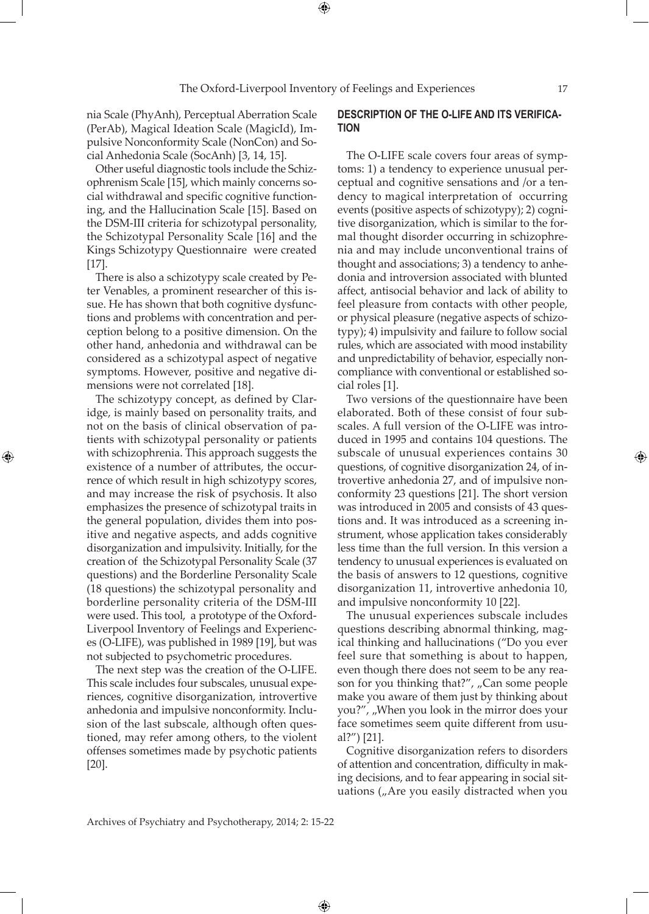nia Scale (PhyAnh), Perceptual Aberration Scale (PerAb), Magical Ideation Scale (MagicId), Impulsive Nonconformity Scale (NonCon) and Social Anhedonia Scale (SocAnh) [3, 14, 15].

Other useful diagnostic tools include the Schizophrenism Scale [15], which mainly concerns social withdrawal and specific cognitive functioning, and the Hallucination Scale [15]. Based on the DSM-III criteria for schizotypal personality, the Schizotypal Personality Scale [16] and the Kings Schizotypy Questionnaire were created [17].

There is also a schizotypy scale created by Peter Venables, a prominent researcher of this issue. He has shown that both cognitive dysfunctions and problems with concentration and perception belong to a positive dimension. On the other hand, anhedonia and withdrawal can be considered as a schizotypal aspect of negative symptoms. However, positive and negative dimensions were not correlated [18].

The schizotypy concept, as defined by Claridge, is mainly based on personality traits, and not on the basis of clinical observation of patients with schizotypal personality or patients with schizophrenia. This approach suggests the existence of a number of attributes, the occurrence of which result in high schizotypy scores, and may increase the risk of psychosis. It also emphasizes the presence of schizotypal traits in the general population, divides them into positive and negative aspects, and adds cognitive disorganization and impulsivity. Initially, for the creation of the Schizotypal Personality Scale (37 questions) and the Borderline Personality Scale (18 questions) the schizotypal personality and borderline personality criteria of the DSM-III were used. This tool, a prototype of the Oxford-Liverpool Inventory of Feelings and Experiences (O-LIFE), was published in 1989 [19], but was not subjected to psychometric procedures.

⊕

The next step was the creation of the O-LIFE. This scale includes four subscales, unusual experiences, cognitive disorganization, introvertive anhedonia and impulsive nonconformity. Inclusion of the last subscale, although often questioned, may refer among others, to the violent offenses sometimes made by psychotic patients [20].

## **Description of the O-LIFE and its verification**

The O-LIFE scale covers four areas of symptoms: 1) a tendency to experience unusual perceptual and cognitive sensations and /or a tendency to magical interpretation of occurring events (positive aspects of schizotypy); 2) cognitive disorganization, which is similar to the formal thought disorder occurring in schizophrenia and may include unconventional trains of thought and associations; 3) a tendency to anhedonia and introversion associated with blunted affect, antisocial behavior and lack of ability to feel pleasure from contacts with other people, or physical pleasure (negative aspects of schizotypy); 4) impulsivity and failure to follow social rules, which are associated with mood instability and unpredictability of behavior, especially noncompliance with conventional or established social roles [1].

Two versions of the questionnaire have been elaborated. Both of these consist of four subscales. A full version of the O-LIFE was introduced in 1995 and contains 104 questions. The subscale of unusual experiences contains 30 questions, of cognitive disorganization 24, of introvertive anhedonia 27, and of impulsive nonconformity 23 questions [21]. The short version was introduced in 2005 and consists of 43 questions and. It was introduced as a screening instrument, whose application takes considerably less time than the full version. In this version a tendency to unusual experiences is evaluated on the basis of answers to 12 questions, cognitive disorganization 11, introvertive anhedonia 10, and impulsive nonconformity 10 [22].

The unusual experiences subscale includes questions describing abnormal thinking, magical thinking and hallucinations ("Do you ever feel sure that something is about to happen, even though there does not seem to be any reason for you thinking that?", "Can some people make you aware of them just by thinking about you?", "When you look in the mirror does your face sometimes seem quite different from usual?") [21].

Cognitive disorganization refers to disorders of attention and concentration, difficulty in making decisions, and to fear appearing in social situations  $\int_{\nu}$  Are you easily distracted when you

 $\bigoplus$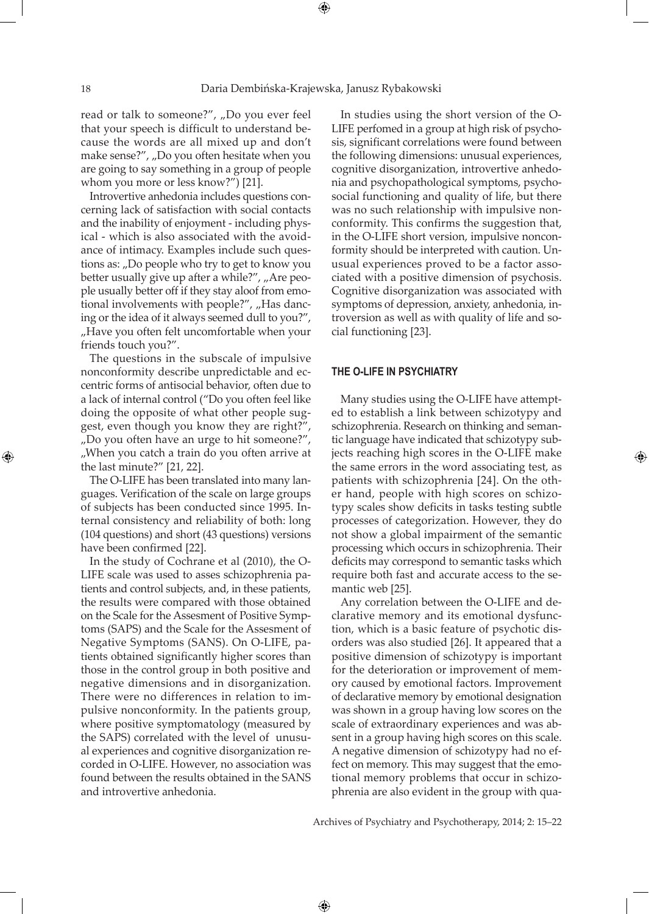read or talk to someone?", "Do you ever feel that your speech is difficult to understand because the words are all mixed up and don't make sense?", "Do you often hesitate when you are going to say something in a group of people whom you more or less know?") [21].

Introvertive anhedonia includes questions concerning lack of satisfaction with social contacts and the inability of enjoyment - including physical - which is also associated with the avoidance of intimacy. Examples include such questions as: "Do people who try to get to know you better usually give up after a while?", "Are people usually better off if they stay aloof from emotional involvements with people?", "Has dancing or the idea of it always seemed dull to you?", "Have you often felt uncomfortable when your friends touch you?".

The questions in the subscale of impulsive nonconformity describe unpredictable and eccentric forms of antisocial behavior, often due to a lack of internal control ("Do you often feel like doing the opposite of what other people suggest, even though you know they are right?" "Do you often have an urge to hit someone?", "When you catch a train do you often arrive at the last minute?" [21, 22].

The O-LIFE has been translated into many languages. Verification of the scale on large groups of subjects has been conducted since 1995. Internal consistency and reliability of both: long (104 questions) and short (43 questions) versions have been confirmed [22].

In the study of Cochrane et al (2010), the O-LIFE scale was used to asses schizophrenia patients and control subjects, and, in these patients, the results were compared with those obtained on the Scale for the Assesment of Positive Symptoms (SAPS) and the Scale for the Assesment of Negative Symptoms (SANS). On O-LIFE, patients obtained significantly higher scores than those in the control group in both positive and negative dimensions and in disorganization. There were no differences in relation to impulsive nonconformity. In the patients group, where positive symptomatology (measured by the SAPS) correlated with the level of unusual experiences and cognitive disorganization recorded in O-LIFE. However, no association was found between the results obtained in the SANS and introvertive anhedonia.

In studies using the short version of the O-LIFE perfomed in a group at high risk of psychosis, significant correlations were found between the following dimensions: unusual experiences, cognitive disorganization, introvertive anhedonia and psychopathological symptoms, psychosocial functioning and quality of life, but there was no such relationship with impulsive nonconformity. This confirms the suggestion that, in the O-LIFE short version, impulsive nonconformity should be interpreted with caution. Unusual experiences proved to be a factor associated with a positive dimension of psychosis. Cognitive disorganization was associated with symptoms of depression, anxiety, anhedonia, introversion as well as with quality of life and social functioning [23].

#### **The O-LIFE in psychiatry**

Many studies using the O-LIFE have attempted to establish a link between schizotypy and schizophrenia. Research on thinking and semantic language have indicated that schizotypy subjects reaching high scores in the O-LIFE make the same errors in the word associating test, as patients with schizophrenia [24]. On the other hand, people with high scores on schizotypy scales show deficits in tasks testing subtle processes of categorization. However, they do not show a global impairment of the semantic processing which occurs in schizophrenia. Their deficits may correspond to semantic tasks which require both fast and accurate access to the semantic web [25].

Any correlation between the O-LIFE and declarative memory and its emotional dysfunction, which is a basic feature of psychotic disorders was also studied [26]. It appeared that a positive dimension of schizotypy is important for the deterioration or improvement of memory caused by emotional factors. Improvement of declarative memory by emotional designation was shown in a group having low scores on the scale of extraordinary experiences and was absent in a group having high scores on this scale. A negative dimension of schizotypy had no effect on memory. This may suggest that the emotional memory problems that occur in schizophrenia are also evident in the group with qua-

Archives of Psychiatry and Psychotherapy, 2014; 2: 15–22

 $\bigoplus$ 

⊕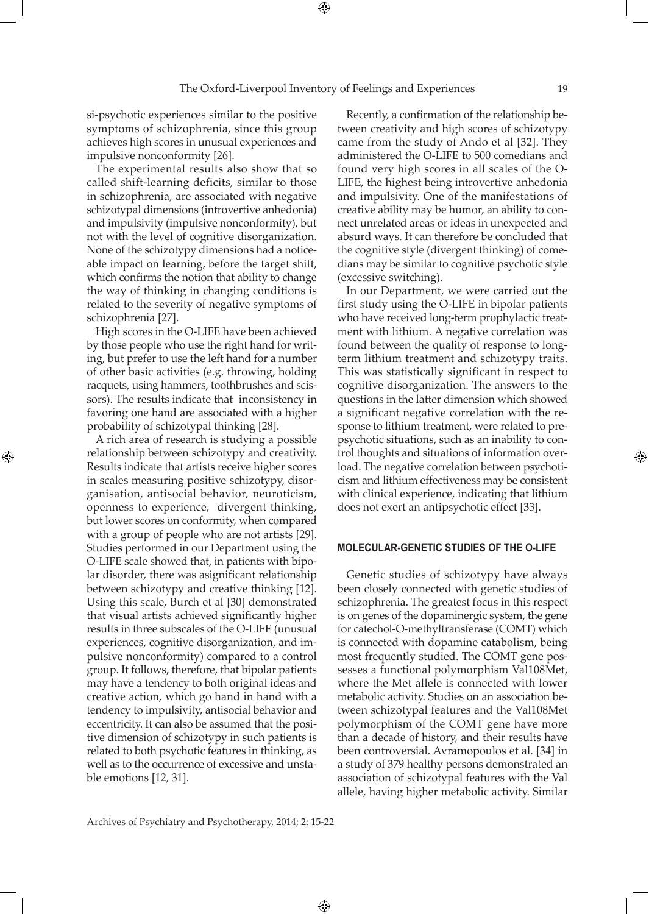si-psychotic experiences similar to the positive symptoms of schizophrenia, since this group achieves high scores in unusual experiences and impulsive nonconformity [26].

The experimental results also show that so called shift-learning deficits, similar to those in schizophrenia, are associated with negative schizotypal dimensions (introvertive anhedonia) and impulsivity (impulsive nonconformity), but not with the level of cognitive disorganization. None of the schizotypy dimensions had a noticeable impact on learning, before the target shift, which confirms the notion that ability to change the way of thinking in changing conditions is related to the severity of negative symptoms of schizophrenia [27].

High scores in the O-LIFE have been achieved by those people who use the right hand for writing, but prefer to use the left hand for a number of other basic activities (e.g. throwing, holding racquets, using hammers, toothbrushes and scissors). The results indicate that inconsistency in favoring one hand are associated with a higher probability of schizotypal thinking [28].

⊕

A rich area of research is studying a possible relationship between schizotypy and creativity. Results indicate that artists receive higher scores in scales measuring positive schizotypy, disorganisation, antisocial behavior, neuroticism, openness to experience, divergent thinking, but lower scores on conformity, when compared with a group of people who are not artists [29]. Studies performed in our Department using the O-LIFE scale showed that, in patients with bipolar disorder, there was asignificant relationship between schizotypy and creative thinking [12]. Using this scale, Burch et al [30] demonstrated that visual artists achieved significantly higher results in three subscales of the O-LIFE (unusual experiences, cognitive disorganization, and impulsive nonconformity) compared to a control group. It follows, therefore, that bipolar patients may have a tendency to both original ideas and creative action, which go hand in hand with a tendency to impulsivity, antisocial behavior and eccentricity. It can also be assumed that the positive dimension of schizotypy in such patients is related to both psychotic features in thinking, as well as to the occurrence of excessive and unstable emotions [12, 31].

Recently, a confirmation of the relationship between creativity and high scores of schizotypy came from the study of Ando et al [32]. They administered the O-LIFE to 500 comedians and found very high scores in all scales of the O-LIFE, the highest being introvertive anhedonia and impulsivity. One of the manifestations of creative ability may be humor, an ability to connect unrelated areas or ideas in unexpected and absurd ways. It can therefore be concluded that the cognitive style (divergent thinking) of comedians may be similar to cognitive psychotic style (excessive switching).

In our Department, we were carried out the first study using the O-LIFE in bipolar patients who have received long-term prophylactic treatment with lithium. A negative correlation was found between the quality of response to longterm lithium treatment and schizotypy traits. This was statistically significant in respect to cognitive disorganization. The answers to the questions in the latter dimension which showed a significant negative correlation with the response to lithium treatment, were related to prepsychotic situations, such as an inability to control thoughts and situations of information overload. The negative correlation between psychoticism and lithium effectiveness may be consistent with clinical experience, indicating that lithium does not exert an antipsychotic effect [33].

### **Molecular-genetic studies of the O-LIFE**

Genetic studies of schizotypy have always been closely connected with genetic studies of schizophrenia. The greatest focus in this respect is on genes of the dopaminergic system, the gene for catechol-O-methyltransferase (COMT) which is connected with dopamine catabolism, being most frequently studied. The COMT gene possesses a functional polymorphism Val108Met, where the Met allele is connected with lower metabolic activity. Studies on an association between schizotypal features and the Val108Met polymorphism of the COMT gene have more than a decade of history, and their results have been controversial. Avramopoulos et al. [34] in a study of 379 healthy persons demonstrated an association of schizotypal features with the Val allele, having higher metabolic activity. Similar

 $\bigoplus$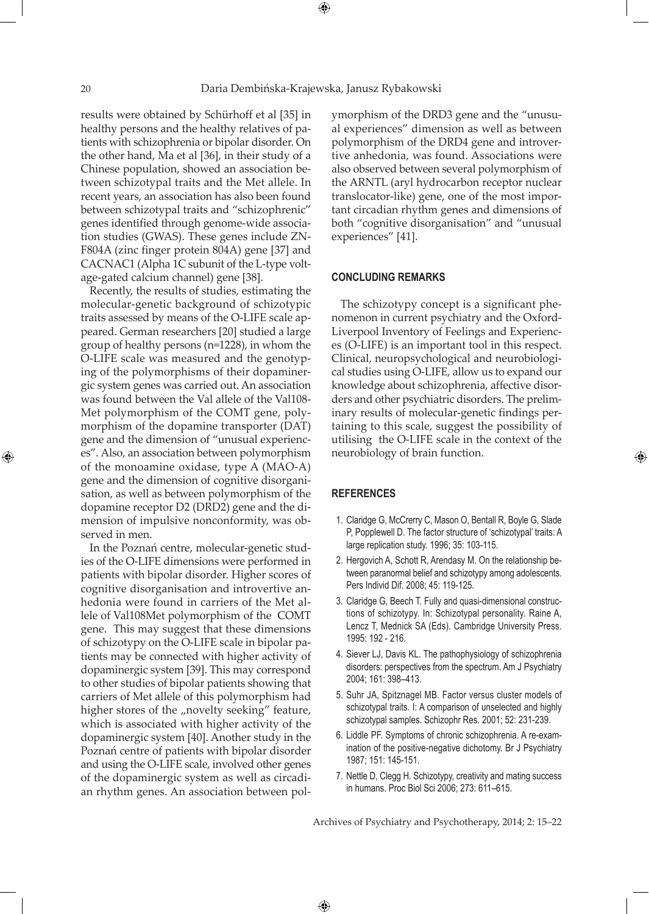⊕

 $\bigoplus$ 

results were obtained by Schürhoff et al [35] in healthy persons and the healthy relatives of patients with schizophrenia or bipolar disorder. On the other hand, Ma et al [36], in their study of a Chinese population, showed an association between schizotypal traits and the Met allele. In recent years, an association has also been found between schizotypal traits and "schizophrenic" genes identified through genome-wide association studies (GWAS). These genes include ZN-F804A (zinc finger protein 804A) gene [37] and CACNAC1 (Alpha 1C subunit of the L-type voltage-gated calcium channel) gene [38].

Recently, the results of studies, estimating the molecular-genetic background of schizotypic traits assessed by means of the O-LIFE scale appeared. German researchers [20] studied a large group of healthy persons (n=1228), in whom the O-LIFE scale was measured and the genotyping of the polymorphisms of their dopaminergic system genes was carried out. An association was found between the Val allele of the Val108- Met polymorphism of the COMT gene, polymorphism of the dopamine transporter (DAT) gene and the dimension of "unusual experiences". Also, an association between polymorphism of the monoamine oxidase, type A (MAO-A) gene and the dimension of cognitive disorganisation, as well as between polymorphism of the dopamine receptor D2 (DRD2) gene and the dimension of impulsive nonconformity, was observed in men.

In the Poznań centre, molecular-genetic studies of the O-LIFE dimensions were performed in patients with bipolar disorder. Higher scores of cognitive disorganisation and introvertive anhedonia were found in carriers of the Met allele of Val108Met polymorphism of the COMT gene. This may suggest that these dimensions of schizotypy on the O-LIFE scale in bipolar patients may be connected with higher activity of dopaminergic system [39]. This may correspond to other studies of bipolar patients showing that carriers of Met allele of this polymorphism had higher stores of the "novelty seeking" feature, which is associated with higher activity of the dopaminergic system [40]. Another study in the Poznań centre of patients with bipolar disorder and using the O-LIFE scale, involved other genes of the dopaminergic system as well as circadian rhythm genes. An association between polymorphism of the DRD3 gene and the "unusual experiences" dimension as well as between polymorphism of the DRD4 gene and introvertive anhedonia, was found. Associations were also observed between several polymorphism of the ARNTL (aryl hydrocarbon receptor nuclear translocator-like) gene, one of the most important circadian rhythm genes and dimensions of both "cognitive disorganisation" and "unusual experiences" [41].

#### **Concluding remarks**

The schizotypy concept is a significant phenomenon in current psychiatry and the Oxford-Liverpool Inventory of Feelings and Experiences (O-LIFE) is an important tool in this respect. Clinical, neuropsychological and neurobiological studies using O-LIFE, allow us to expand our knowledge about schizophrenia, affective disorders and other psychiatric disorders. The preliminary results of molecular-genetic findings pertaining to this scale, suggest the possibility of utilising the O-LIFE scale in the context of the neurobiology of brain function.

## **References**

 $\bigoplus$ 

1. Claridge G, McCrerry C, Mason O, Bentall R, Boyle G, Slade P, Popplewell D. The factor structure of 'schizotypal' traits: A large replication study. 1996; 35: 103-115.

⊕

- 2. Hergovich A, Schott R, Arendasy M. On the relationship between paranormal belief and schizotypy among adolescents. Pers Individ Dif. 2008; 45: 119-125.
- 3. Claridge G, Beech T. Fully and quasi-dimensional constructions of schizotypy. In: Schizotypal personality. Raine A, Lencz T, Mednick SA (Eds). Cambridge University Press. 1995: 192 - 216.
- 4. Siever LJ, Davis KL. The pathophysiology of schizophrenia disorders: perspectives from the spectrum. Am J Psychiatry 2004; 161: 398–413.
- 5. Suhr JA, Spitznagel MB. Factor versus cluster models of schizotypal traits. I: A comparison of unselected and highly schizotypal samples. Schizophr Res. 2001; 52: 231-239.
- 6. Liddle PF. Symptoms of chronic schizophrenia. A re-examination of the positive-negative dichotomy. Br J Psychiatry 1987; 151: 145-151.
- 7. Nettle D, Clegg H. Schizotypy, creativity and mating success in humans. Proc Biol Sci 2006; 273: 611–615.

Archives of Psychiatry and Psychotherapy, 2014; 2: 15–22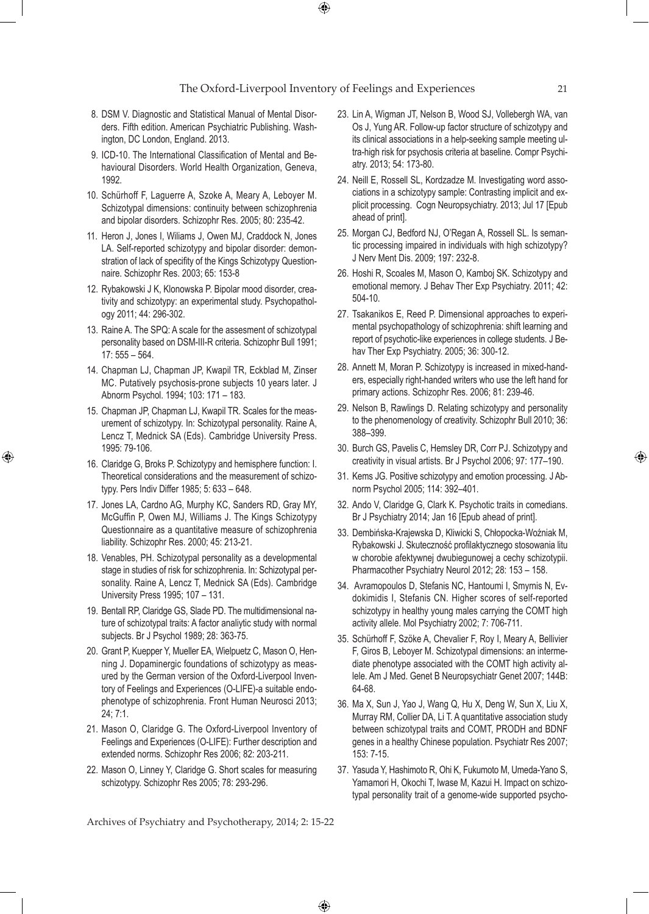$\bigoplus$ 

- 8. DSM V. Diagnostic and Statistical Manual of Mental Disorders. Fifth edition. American Psychiatric Publishing. Washington, DC London, England. 2013.
- 9. ICD-10. The International Classification of Mental and Behavioural Disorders. World Health Organization, Geneva, 1992.
- 10. Schürhoff F, Laguerre A, Szoke A, Meary A, Leboyer M. Schizotypal dimensions: continuity between schizophrenia and bipolar disorders. Schizophr Res. 2005; 80: 235-42.
- 11. Heron J, Jones I, Wiliams J, Owen MJ, Craddock N, Jones LA. Self-reported schizotypy and bipolar disorder: demonstration of lack of specifity of the Kings Schizotypy Questionnaire. Schizophr Res. 2003; 65: 153-8
- 12. Rybakowski J K, Klonowska P. Bipolar mood disorder, creativity and schizotypy: an experimental study. Psychopathology 2011; 44: 296-302.
- 13. Raine A. The SPQ: A scale for the assesment of schizotypal personality based on DSM-III-R criteria. Schizophr Bull 1991; 17: 555 – 564.
- 14. Chapman LJ, Chapman JP, Kwapil TR, Eckblad M, Zinser MC. Putatively psychosis-prone subjects 10 years later. J Abnorm Psychol. 1994; 103: 171 – 183.
- 15. Chapman JP, Chapman LJ, Kwapil TR. Scales for the measurement of schizotypy. In: Schizotypal personality. Raine A, Lencz T, Mednick SA (Eds). Cambridge University Press. 1995: 79-106.
- 16. Claridge G, Broks P. Schizotypy and hemisphere function: I. Theoretical considerations and the measurement of schizotypy. Pers Indiv Differ 1985; 5: 633 – 648.

⊕

- 17. Jones LA, Cardno AG, Murphy KC, Sanders RD, Gray MY, McGuffin P, Owen MJ, Williams J. The Kings Schizotypy Questionnaire as a quantitative measure of schizophrenia liability. Schizophr Res. 2000; 45: 213-21.
- 18. Venables, PH. Schizotypal personality as a developmental stage in studies of risk for schizophrenia. In: Schizotypal personality. Raine A, Lencz T, Mednick SA (Eds). Cambridge University Press 1995; 107 – 131.
- 19. Bentall RP, Claridge GS, Slade PD. The multidimensional nature of schizotypal traits: A factor analiytic study with normal subjects. Br J Psychol 1989; 28: 363-75.
- 20. Grant P, Kuepper Y, Mueller EA, Wielpuetz C, Mason O, Henning J. Dopaminergic foundations of schizotypy as measured by the German version of the Oxford-Liverpool Inventory of Feelings and Experiences (O-LIFE)-a suitable endophenotype of schizophrenia. Front Human Neurosci 2013; 24; 7:1.
- 21. Mason O, Claridge G. The Oxford-Liverpool Inventory of Feelings and Experiences (O-LIFE): Further description and extended norms. Schizophr Res 2006; 82: 203-211.
- 22. Mason O, Linney Y, Claridge G. Short scales for measuring schizotypy. Schizophr Res 2005; 78: 293-296.
- 23. Lin A, Wigman JT, Nelson B, Wood SJ, Vollebergh WA, van Os J, Yung AR. Follow-up factor structure of schizotypy and its clinical associations in a help-seeking sample meeting ultra-high risk for psychosis criteria at baseline. Compr Psychiatry. 2013; 54: 173-80.
- 24. Neill E, Rossell SL, Kordzadze M. Investigating word associations in a schizotypy sample: Contrasting implicit and explicit processing. Cogn Neuropsychiatry. 2013; Jul 17 [Epub ahead of print].
- 25. Morgan CJ, Bedford NJ, O'Regan A, Rossell SL. Is semantic processing impaired in individuals with high schizotypy? J Nerv Ment Dis. 2009; 197: 232-8.
- 26. Hoshi R, Scoales M, Mason O, Kamboj SK. Schizotypy and emotional memory. J Behav Ther Exp Psychiatry. 2011; 42: 504-10.
- 27. Tsakanikos E, Reed P. Dimensional approaches to experimental psychopathology of schizophrenia: shift learning and report of psychotic-like experiences in college students. J Behav Ther Exp Psychiatry. 2005; 36: 300-12.
- 28. Annett M, Moran P. Schizotypy is increased in mixed-handers, especially right-handed writers who use the left hand for primary actions. Schizophr Res. 2006; 81: 239-46.
- 29. Nelson B, Rawlings D. Relating schizotypy and personality to the phenomenology of creativity. Schizophr Bull 2010; 36: 388–399.
- 30. Burch GS, Pavelis C, Hemsley DR, Corr PJ. Schizotypy and creativity in visual artists. Br J Psychol 2006; 97: 177–190.
- 31. Kems JG. Positive schizotypy and emotion processing. J Abnorm Psychol 2005; 114: 392–401.
- 32. Ando V, Claridge G, Clark K. Psychotic traits in comedians. Br J Psychiatry 2014; Jan 16 [Epub ahead of print].
- 33. Dembińska-Krajewska D, Kliwicki S, Chłopocka-Woźniak M, Rybakowski J. Skuteczność profilaktycznego stosowania litu w chorobie afektywnej dwubiegunowej a cechy schizotypii. Pharmacother Psychiatry Neurol 2012; 28: 153 – 158.
- 34. Avramopoulos D, Stefanis NC, Hantoumi I, Smyrnis N, Evdokimidis I, Stefanis CN. Higher scores of self-reported schizotypy in healthy young males carrying the COMT high activity allele. Mol Psychiatry 2002; 7: 706-711.
- 35. Schürhoff F, Szöke A, Chevalier F, Roy I, Meary A, Bellivier F, Giros B, Leboyer M. Schizotypal dimensions: an intermediate phenotype associated with the COMT high activity allele. Am J Med. Genet B Neuropsychiatr Genet 2007; 144B: 64-68.
- 36. Ma X, Sun J, Yao J, Wang Q, Hu X, Deng W, Sun X, Liu X, Murray RM, Collier DA, Li T. A quantitative association study between schizotypal traits and COMT, PRODH and BDNF genes in a healthy Chinese population. Psychiatr Res 2007; 153: 7-15.
- 37. Yasuda Y, Hashimoto R, Ohi K, Fukumoto M, Umeda-Yano S, Yamamori H, Okochi T, Iwase M, Kazui H. Impact on schizotypal personality trait of a genome-wide supported psycho-

Archives of Psychiatry and Psychotherapy, 2014; 2: 15-22

 $\bigoplus$ 

⊕